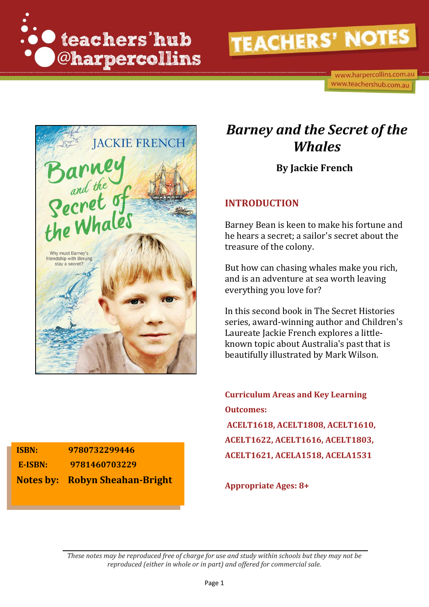

www.harpercollins.com.au www.teachershub.com.au



# *Barney and the Secret of the Whales*

**By Jackie French**

### **INTRODUCTION**

Barney Bean is keen to make his fortune and he hears a secret; a sailor's secret about the treasure of the colony.

But how can chasing whales make you rich, and is an adventure at sea worth leaving everything you love for?

In this second book in The Secret Histories series, award-winning author and Children's Laureate Jackie French explores a littleknown topic about Australia's past that is beautifully illustrated by Mark Wilson.

**Curriculum Areas and Key Learning Outcomes: ACELT1618, ACELT1808, ACELT1610, ACELT1622, ACELT1616, ACELT1803, ACELT1621, ACELA1518, ACELA1531**

**Appropriate Ages: 8+**

**ISBN: 9780732299446 E-ISBN: 9781460703229 Notes by: Robyn Sheahan-Bright**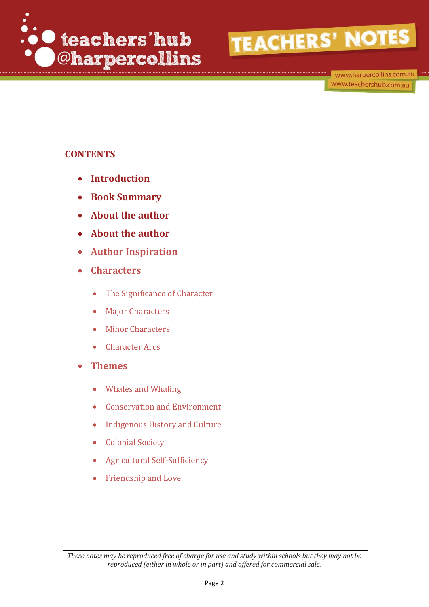

www.harpercollins.com.au www.teachershub.com.au

# **CONTENTS**

- **Introduction**
- **Book Summary**
- **About the author**
- **About the author**
- **Author Inspiration**
- **Characters** 
	- The Significance of Character
	- Major Characters
	- Minor Characters
	- Character Arcs
- **Themes**
	- Whales and Whaling
	- Conservation and Environment
	- Indigenous History and Culture
	- Colonial Society
	- Agricultural Self-Sufficiency
	- Friendship and Love

*These notes may be reproduced free of charge for use and study within schools but they may not be reproduced (either in whole or in part) and offered for commercial sale.*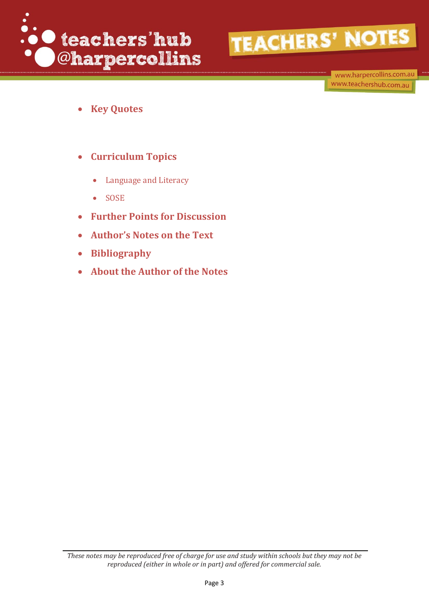

www.harpercollins.com.au www.teachershub.com.au

- **Key Quotes**
- **Curriculum Topics**
	- Language and Literacy
	- SOSE
- **Further Points for Discussion**
- **Author's Notes on the Text**
- **Bibliography**
- **About the Author of the Notes**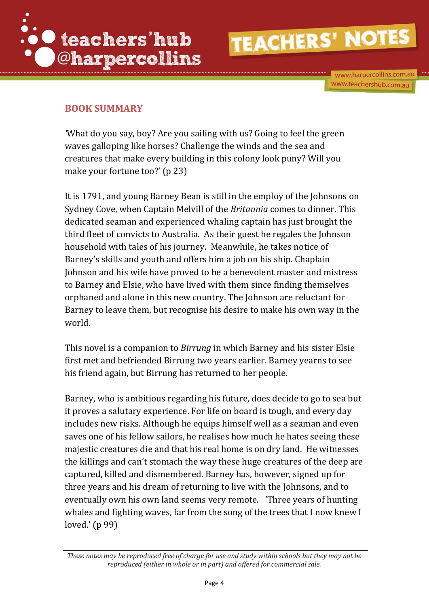

www.harpercollins.com.au www.teachershub.com.au

# **BOOK SUMMARY**

*'*What do you say, boy? Are you sailing with us? Going to feel the green waves galloping like horses? Challenge the winds and the sea and creatures that make every building in this colony look puny? Will you make your fortune too?' (p 23)

It is 1791, and young Barney Bean is still in the employ of the Johnsons on Sydney Cove, when Captain Melvill of the *Britannia* comes to dinner. This dedicated seaman and experienced whaling captain has just brought the third fleet of convicts to Australia. As their guest he regales the Johnson household with tales of his journey. Meanwhile, he takes notice of Barney's skills and youth and offers him a job on his ship. Chaplain Johnson and his wife have proved to be a benevolent master and mistress to Barney and Elsie, who have lived with them since finding themselves orphaned and alone in this new country. The Johnson are reluctant for Barney to leave them, but recognise his desire to make his own way in the world.

This novel is a companion to *Birrung* in which Barney and his sister Elsie first met and befriended Birrung two years earlier. Barney yearns to see his friend again, but Birrung has returned to her people.

Barney, who is ambitious regarding his future, does decide to go to sea but it proves a salutary experience. For life on board is tough, and every day includes new risks. Although he equips himself well as a seaman and even saves one of his fellow sailors, he realises how much he hates seeing these majestic creatures die and that his real home is on dry land. He witnesses the killings and can't stomach the way these huge creatures of the deep are captured, killed and dismembered. Barney has, however, signed up for three years and his dream of returning to live with the Johnsons, and to eventually own his own land seems very remote. 'Three years of hunting whales and fighting waves, far from the song of the trees that I now knew I loved.' (p 99)

*These notes may be reproduced free of charge for use and study within schools but they may not be reproduced (either in whole or in part) and offered for commercial sale.*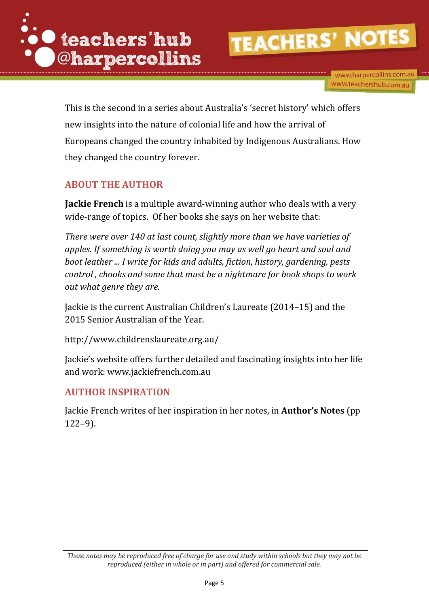

www.harpercollins.com.au www.teachershub.com.au

This is the second in a series about Australia's 'secret history' which offers new insights into the nature of colonial life and how the arrival of Europeans changed the country inhabited by Indigenous Australians. How they changed the country forever.

# **ABOUT THE AUTHOR**

**Jackie French** is a multiple award-winning author who deals with a very wide-range of topics. Of her books she says on her website that:

*There were over 140 at last count, slightly more than we have varieties of apples. If something is worth doing you may as well go heart and soul and boot leather ... I write for kids and adults, fiction, history, gardening, pests control , chooks and some that must be a nightmare for book shops to work out what genre they are.* 

Jackie is the current Australian Children's Laureate (2014–15) and the 2015 Senior Australian of the Year.

<http://www.childrenslaureate.org.au/>

Jackie's website offers further detailed and fascinating insights into her life and work: [www.jackiefrench.com.au](http://www.jackiefrench.com.au/)

### **AUTHOR INSPIRATION**

Jackie French writes of her inspiration in her notes, in **Author's Notes** (pp 122–9).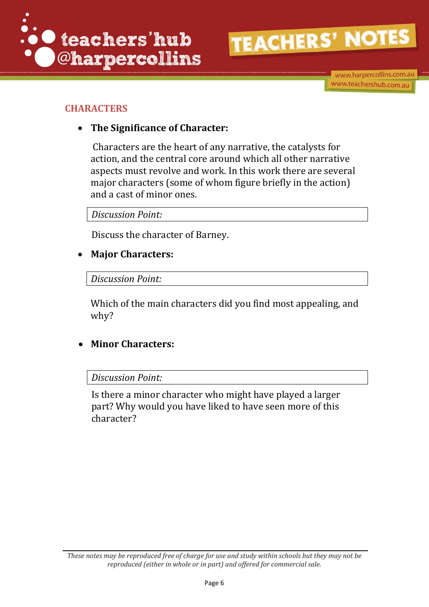

www.harpercollins.com.au www.teachershub.com.au

# **CHARACTERS**

# **The Significance of Character:**

Characters are the heart of any narrative, the catalysts for action, and the central core around which all other narrative aspects must revolve and work. In this work there are several major characters (some of whom figure briefly in the action) and a cast of minor ones.

*Discussion Point:*

Discuss the character of Barney.

# **Major Characters:**

## *Discussion Point:*

Which of the main characters did you find most appealing, and why?

# **Minor Characters:**

### *Discussion Point:*

Is there a minor character who might have played a larger part? Why would you have liked to have seen more of this character?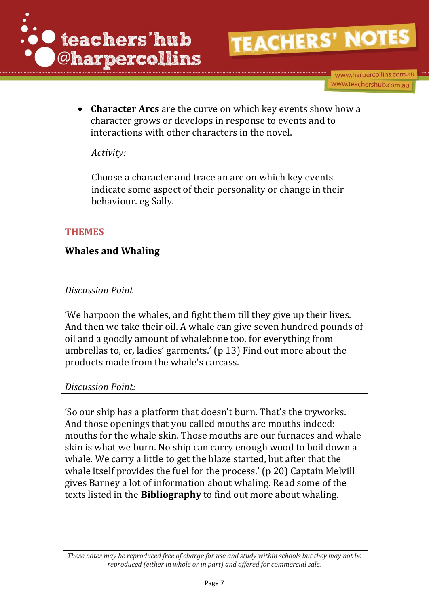

www.harpercollins.com.au www.teachershub.com.au

 **Character Arcs** are the curve on which key events show how a character grows or develops in response to events and to interactions with other characters in the novel.

### *Activity:*

Choose a character and trace an arc on which key events indicate some aspect of their personality or change in their behaviour. eg Sally.

### **THEMES**

## **Whales and Whaling**

### *Discussion Point*

'We harpoon the whales, and fight them till they give up their lives. And then we take their oil. A whale can give seven hundred pounds of oil and a goodly amount of whalebone too, for everything from umbrellas to, er, ladies' garments.' (p 13) Find out more about the products made from the whale's carcass.

*Discussion Point:*

'So our ship has a platform that doesn't burn. That's the tryworks. And those openings that you called mouths are mouths indeed: mouths for the whale skin. Those mouths are our furnaces and whale skin is what we burn. No ship can carry enough wood to boil down a whale. We carry a little to get the blaze started, but after that the whale itself provides the fuel for the process.' (p 20) Captain Melvill gives Barney a lot of information about whaling. Read some of the texts listed in the **Bibliography** to find out more about whaling.

*These notes may be reproduced free of charge for use and study within schools but they may not be reproduced (either in whole or in part) and offered for commercial sale.*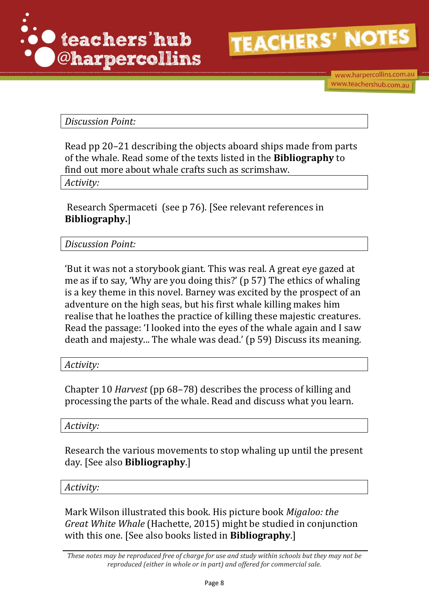

www.harpercollins.com.au www.teachershub.com.au

*Discussion Point:*

Read pp 20–21 describing the objects aboard ships made from parts of the whale. Read some of the texts listed in the **Bibliography** to find out more about whale crafts such as scrimshaw.

*Activity:*

Research Spermaceti (see p 76). [See relevant references in **Bibliography.**]

*Discussion Point:* 

'But it was not a storybook giant. This was real. A great eye gazed at me as if to say, 'Why are you doing this?' (p 57) The ethics of whaling is a key theme in this novel. Barney was excited by the prospect of an adventure on the high seas, but his first whale killing makes him realise that he loathes the practice of killing these majestic creatures. Read the passage: 'I looked into the eyes of the whale again and I saw death and majesty... The whale was dead.' (p 59) Discuss its meaning.

*Activity:*

Chapter 10 *Harvest* (pp 68–78) describes the process of killing and processing the parts of the whale. Read and discuss what you learn.

*Activity:* 

Research the various movements to stop whaling up until the present day. [See also **Bibliography**.]

*Activity:* 

Mark Wilson illustrated this book. His picture book *Migaloo: the Great White Whale* (Hachette, 2015) might be studied in conjunction with this one. [See also books listed in **Bibliography**.]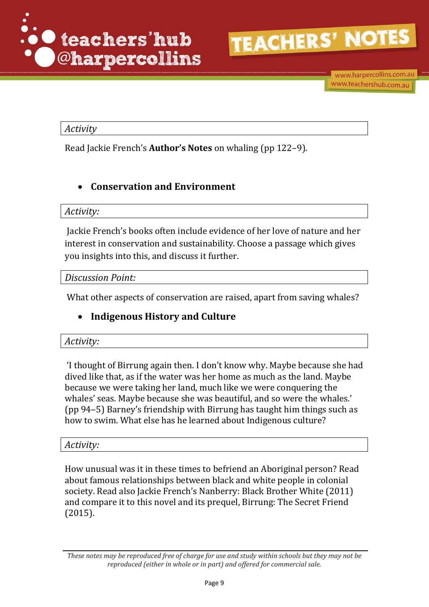

## *Activity*

Read Jackie French's **Author's Notes** on whaling (pp 122–9).

# **Conservation and Environment**

### *Activity:*

Jackie French's books often include evidence of her love of nature and her interest in conservation and sustainability. Choose a passage which gives you insights into this, and discuss it further.

### *Discussion Point:*

What other aspects of conservation are raised, apart from saving whales?

# **Indigenous History and Culture**

### *Activity:*

'I thought of Birrung again then. I don't know why. Maybe because she had dived like that, as if the water was her home as much as the land. Maybe because we were taking her land, much like we were conquering the whales' seas. Maybe because she was beautiful, and so were the whales.' (pp 94–5) Barney's friendship with Birrung has taught him things such as how to swim. What else has he learned about Indigenous culture?

### *Activity:*

How unusual was it in these times to befriend an Aboriginal person? Read about famous relationships between black and white people in colonial society. Read also Jackie French's Nanberry: Black Brother White (2011) and compare it to this novel and its prequel, Birrung: The Secret Friend (2015).

*These notes may be reproduced free of charge for use and study within schools but they may not be reproduced (either in whole or in part) and offered for commercial sale.*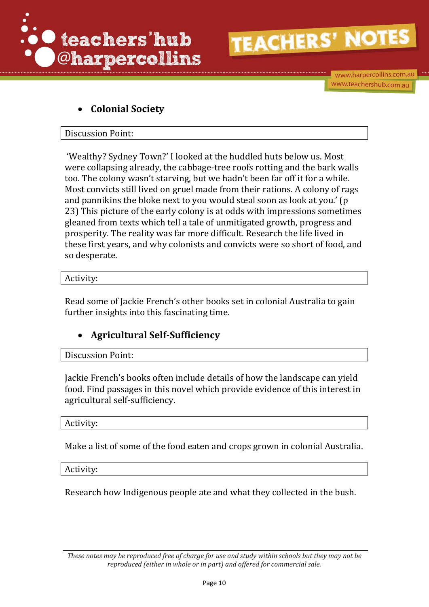

# **Colonial Society**

### Discussion Point:

'Wealthy? Sydney Town?' I looked at the huddled huts below us. Most were collapsing already, the cabbage-tree roofs rotting and the bark walls too. The colony wasn't starving, but we hadn't been far off it for a while. Most convicts still lived on gruel made from their rations. A colony of rags and pannikins the bloke next to you would steal soon as look at you.' (p 23) This picture of the early colony is at odds with impressions sometimes gleaned from texts which tell a tale of unmitigated growth, progress and prosperity. The reality was far more difficult. Research the life lived in these first years, and why colonists and convicts were so short of food, and so desperate.

### Activity:

Read some of Jackie French's other books set in colonial Australia to gain further insights into this fascinating time.

# **Agricultural Self-Sufficiency**

Discussion Point:

Jackie French's books often include details of how the landscape can yield food. Find passages in this novel which provide evidence of this interest in agricultural self-sufficiency.

Activity:

Make a list of some of the food eaten and crops grown in colonial Australia.

Activity:

Research how Indigenous people ate and what they collected in the bush.

*These notes may be reproduced free of charge for use and study within schools but they may not be reproduced (either in whole or in part) and offered for commercial sale.*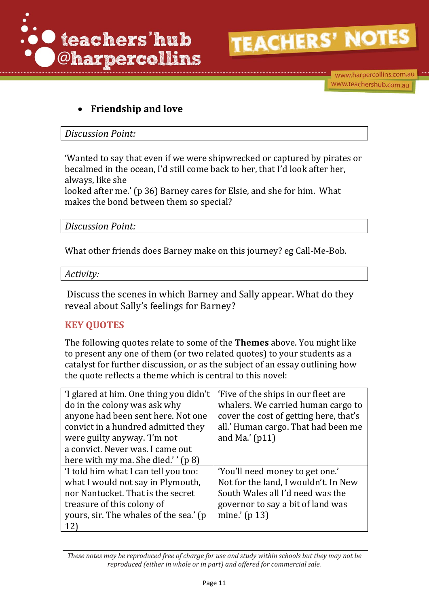

www.harpercollins.com.au www.teachershub.com.au

# **Friendship and love**

*Discussion Point:*

'Wanted to say that even if we were shipwrecked or captured by pirates or becalmed in the ocean, I'd still come back to her, that I'd look after her, always, like she

looked after me.' (p 36) Barney cares for Elsie, and she for him. What makes the bond between them so special?

### *Discussion Point:*

What other friends does Barney make on this journey? eg Call-Me-Bob.

### *Activity:*

Discuss the scenes in which Barney and Sally appear. What do they reveal about Sally's feelings for Barney?

# **KEY QUOTES**

The following quotes relate to some of the **Themes** above. You might like to present any one of them (or two related quotes) to your students as a catalyst for further discussion, or as the subject of an essay outlining how the quote reflects a theme which is central to this novel:

| 'I glared at him. One thing you didn't | 'Five of the ships in our fleet are.   |
|----------------------------------------|----------------------------------------|
| do in the colony was ask why           | whalers. We carried human cargo to     |
| anyone had been sent here. Not one     | cover the cost of getting here, that's |
| convict in a hundred admitted they     | all.' Human cargo. That had been me    |
| were guilty anyway. T'm not            | and Ma.' $(p11)$                       |
| a convict. Never was. I came out       |                                        |
| here with my ma. She died.'' $(p 8)$   |                                        |
| 'I told him what I can tell you too:   | 'You'll need money to get one.'        |
| what I would not say in Plymouth,      | Not for the land, I wouldn't. In New   |
| nor Nantucket. That is the secret      | South Wales all I'd need was the       |
| treasure of this colony of             | governor to say a bit of land was      |
| yours, sir. The whales of the sea.' (p | mine.' $(p 13)$                        |
| 12)                                    |                                        |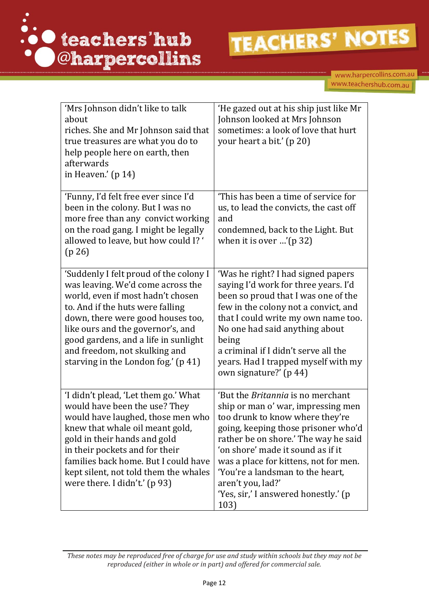

| 'Mrs Johnson didn't like to talk<br>about<br>riches. She and Mr Johnson said that<br>true treasures are what you do to<br>help people here on earth, then<br>afterwards<br>in Heaven.' $(p 14)$                                                                                                                                                | 'He gazed out at his ship just like Mr<br>Johnson looked at Mrs Johnson<br>sometimes: a look of love that hurt<br>your heart a bit.' (p 20)                                                                                                                                                                                                                                             |
|------------------------------------------------------------------------------------------------------------------------------------------------------------------------------------------------------------------------------------------------------------------------------------------------------------------------------------------------|-----------------------------------------------------------------------------------------------------------------------------------------------------------------------------------------------------------------------------------------------------------------------------------------------------------------------------------------------------------------------------------------|
| 'Funny, I'd felt free ever since I'd<br>been in the colony. But I was no<br>more free than any convict working<br>on the road gang. I might be legally<br>allowed to leave, but how could I? '<br>(p 26)                                                                                                                                       | 'This has been a time of service for<br>us, to lead the convicts, the cast off<br>and<br>condemned, back to the Light. But<br>when it is over '( $p 32$ )                                                                                                                                                                                                                               |
| 'Suddenly I felt proud of the colony I<br>was leaving. We'd come across the<br>world, even if most hadn't chosen<br>to. And if the huts were falling<br>down, there were good houses too,<br>like ours and the governor's, and<br>good gardens, and a life in sunlight<br>and freedom, not skulking and<br>starving in the London fog.' (p 41) | 'Was he right? I had signed papers<br>saying I'd work for three years. I'd<br>been so proud that I was one of the<br>few in the colony not a convict, and<br>that I could write my own name too.<br>No one had said anything about<br>being<br>a criminal if I didn't serve all the<br>years. Had I trapped myself with my<br>own signature?' (p 44)                                    |
| 'I didn't plead, 'Let them go.' What<br>would have been the use? They<br>would have laughed, those men who<br>knew that whale oil meant gold,<br>gold in their hands and gold<br>in their pockets and for their<br>families back home. But I could have<br>kept silent, not told them the whales<br>were there. I didn't.' (p 93)              | 'But the <i>Britannia</i> is no merchant<br>ship or man o' war, impressing men<br>too drunk to know where they're<br>going, keeping those prisoner who'd<br>rather be on shore.' The way he said<br>'on shore' made it sound as if it<br>was a place for kittens, not for men.<br>'You're a landsman to the heart,<br>aren't you, lad?'<br>'Yes, sir,' I answered honestly.' (p<br>103) |

*These notes may be reproduced free of charge for use and study within schools but they may not be reproduced (either in whole or in part) and offered for commercial sale.*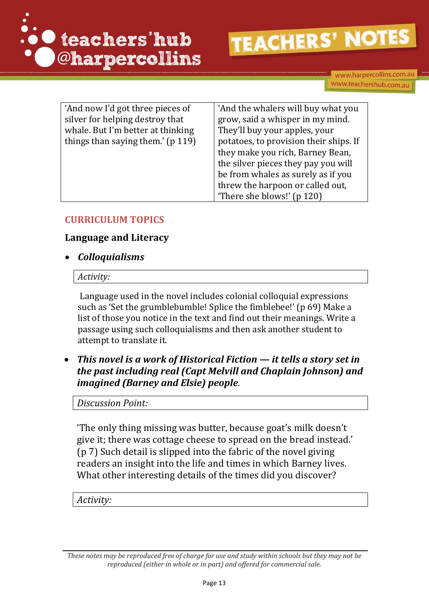

www.harpercollins.com.au www.teachershub.com.au

| 'And now I'd got three pieces of  | 'And the whalers will buy what you     |
|-----------------------------------|----------------------------------------|
| silver for helping destroy that   | grow, said a whisper in my mind.       |
| whale. But I'm better at thinking | They'll buy your apples, your          |
| things than saying them.' (p 119) | potatoes, to provision their ships. If |
|                                   | they make you rich, Barney Bean,       |
|                                   | the silver pieces they pay you will    |
|                                   | be from whales as surely as if you     |
|                                   | threw the harpoon or called out,       |
|                                   | There she blows!' (p 120)              |

## **CURRICULUM TOPICS**

### **Language and Literacy**

*Colloquialisms* 

### *Activity:*

Language used in the novel includes colonial colloquial expressions such as 'Set the grumblebumble! Splice the fimblebee!' (p 69) Make a list of those you notice in the text and find out their meanings. Write a passage using such colloquialisms and then ask another student to attempt to translate it.

 *This novel is a work of Historical Fiction — it tells a story set in the past including real (Capt Melvill and Chaplain Johnson) and imagined (Barney and Elsie) people*.

### *Discussion Point:*

'The only thing missing was butter, because goat's milk doesn't give it; there was cottage cheese to spread on the bread instead.' (p 7) Such detail is slipped into the fabric of the novel giving readers an insight into the life and times in which Barney lives. What other interesting details of the times did you discover?

*Activity:*

*These notes may be reproduced free of charge for use and study within schools but they may not be reproduced (either in whole or in part) and offered for commercial sale.*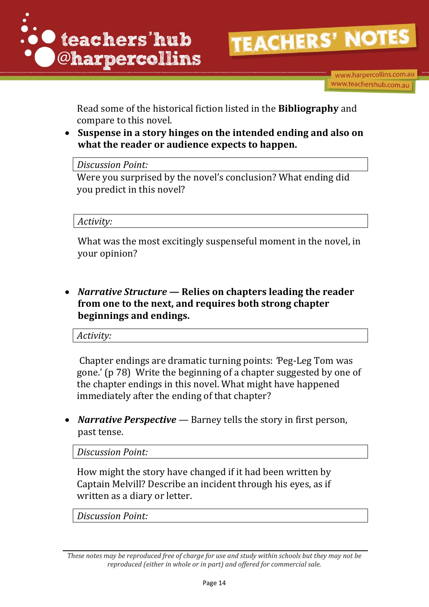

www.harpercollins.com.au www.teachershub.com.au

Read some of the historical fiction listed in the **Bibliography** and compare to this novel.

 **Suspense in a story hinges on the intended ending and also on what the reader or audience expects to happen.** 

*Discussion Point:*

Were you surprised by the novel's conclusion? What ending did you predict in this novel?

*Activity:*

What was the most excitingly suspenseful moment in the novel, in your opinion?

 *Narrative Structure —* **Relies on chapters leading the reader from one to the next, and requires both strong chapter beginnings and endings.**

*Activity:*

Chapter endings are dramatic turning points: *'*Peg-Leg Tom was gone.' (p 78) Write the beginning of a chapter suggested by one of the chapter endings in this novel. What might have happened immediately after the ending of that chapter?

 *Narrative Perspective —* Barney tells the story in first person, past tense.

*Discussion Point:*

How might the story have changed if it had been written by Captain Melvill? Describe an incident through his eyes, as if written as a diary or letter.

*Discussion Point:*

*These notes may be reproduced free of charge for use and study within schools but they may not be reproduced (either in whole or in part) and offered for commercial sale.*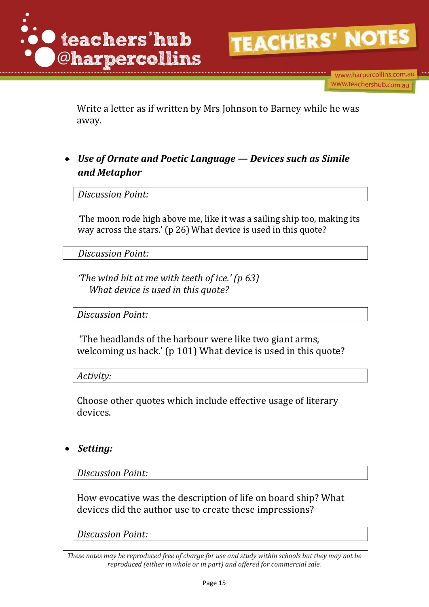

www.harpercollins.com.au www.teachershub.com.au

Write a letter as if written by Mrs Johnson to Barney while he was away.

 *Use of Ornate and Poetic Language — Devices such as Simile and Metaphor* 

*Discussion Point:* 

*'*The moon rode high above me, like it was a sailing ship too, making its way across the stars.' (p 26) What device is used in this quote?

 *Discussion Point:* 

*'The wind bit at me with teeth of ice.' (p 63) What device is used in this quote?*

*Discussion Point:*

'The headlands of the harbour were like two giant arms, welcoming us back.' (p 101) What device is used in this quote?

*Activity:*

Choose other quotes which include effective usage of literary devices.

### *Setting:*

*Discussion Point:*

How evocative was the description of life on board ship? What devices did the author use to create these impressions?

*Discussion Point:*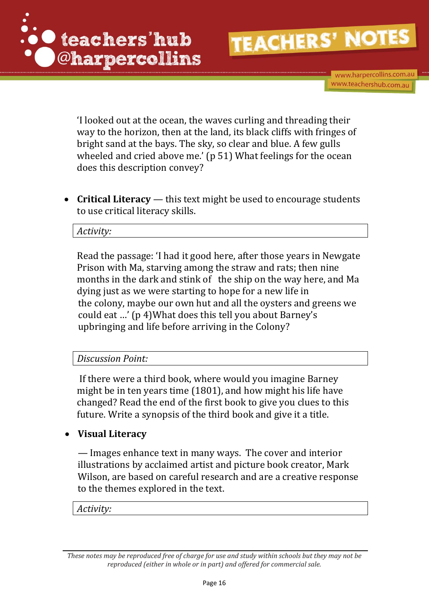

www.harpercollins.com.au www.teachershub.com.au

'I looked out at the ocean, the waves curling and threading their way to the horizon, then at the land, its black cliffs with fringes of bright sand at the bays. The sky, so clear and blue. A few gulls wheeled and cried above me.' (p 51) What feelings for the ocean does this description convey?

 **Critical Literacy** *—* this text might be used to encourage students to use critical literacy skills.

### *Activity:*

Read the passage: 'I had it good here, after those years in Newgate Prison with Ma, starving among the straw and rats; then nine months in the dark and stink of the ship on the way here, and Ma dying just as we were starting to hope for a new life in the colony, maybe our own hut and all the oysters and greens we could eat …' (p 4)What does this tell you about Barney's upbringing and life before arriving in the Colony?

*Discussion Point:* 

If there were a third book, where would you imagine Barney might be in ten years time (1801), and how might his life have changed? Read the end of the first book to give you clues to this future. Write a synopsis of the third book and give it a title.

# **Visual Literacy**

*—* Images enhance text in many ways. The cover and interior illustrations by acclaimed artist and picture book creator, Mark Wilson, are based on careful research and are a creative response to the themes explored in the text.

*Activity:*

*These notes may be reproduced free of charge for use and study within schools but they may not be reproduced (either in whole or in part) and offered for commercial sale.*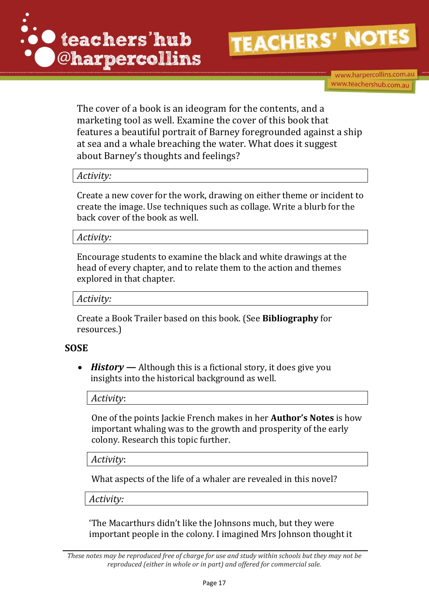



www.harpercollins.com.au www.teachershub.com.au

The cover of a book is an ideogram for the contents, and a marketing tool as well. Examine the cover of this book that features a beautiful portrait of Barney foregrounded against a ship at sea and a whale breaching the water. What does it suggest about Barney's thoughts and feelings?

### *Activity:*

Create a new cover for the work, drawing on either theme or incident to create the image. Use techniques such as collage. Write a blurb for the back cover of the book as well.

*Activity:*

Encourage students to examine the black and white drawings at the head of every chapter, and to relate them to the action and themes explored in that chapter.

*Activity:*

Create a Book Trailer based on this book. (See **Bibliography** for resources.)

### **SOSE**

 *History* **—** Although this is a fictional story, it does give you insights into the historical background as well.

*Activity*:

One of the points Jackie French makes in her **Author's Notes** is how important whaling was to the growth and prosperity of the early colony. Research this topic further.

*Activity*:

What aspects of the life of a whaler are revealed in this novel?

*Activity:*

'The Macarthurs didn't like the Johnsons much, but they were important people in the colony. I imagined Mrs Johnson thought it

*These notes may be reproduced free of charge for use and study within schools but they may not be reproduced (either in whole or in part) and offered for commercial sale.*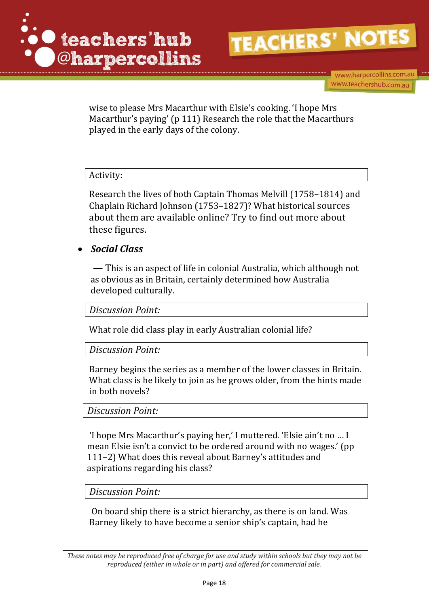

www.harpercollins.com.au www.teachershub.com.au

wise to please Mrs Macarthur with Elsie's cooking. 'I hope Mrs Macarthur's paying' (p 111) Research the role that the Macarthurs played in the early days of the colony.

### Activity:

Research the lives of both Captain Thomas Melvill (1758–1814) and Chaplain Richard Johnson (1753–1827)? What historical sources about them are available online? Try to find out more about these figures.

### *Social Class*

**—** This is an aspect of life in colonial Australia, which although not as obvious as in Britain, certainly determined how Australia developed culturally.

*Discussion Point:* 

What role did class play in early Australian colonial life?

### *Discussion Point:*

Barney begins the series as a member of the lower classes in Britain. What class is he likely to join as he grows older, from the hints made in both novels?

### *Discussion Point:*

'I hope Mrs Macarthur's paying her,' I muttered. 'Elsie ain't no … I mean Elsie isn't a convict to be ordered around with no wages.' (pp 111–2) What does this reveal about Barney's attitudes and aspirations regarding his class?

### *Discussion Point:*

On board ship there is a strict hierarchy, as there is on land. Was Barney likely to have become a senior ship's captain, had he

*These notes may be reproduced free of charge for use and study within schools but they may not be reproduced (either in whole or in part) and offered for commercial sale.*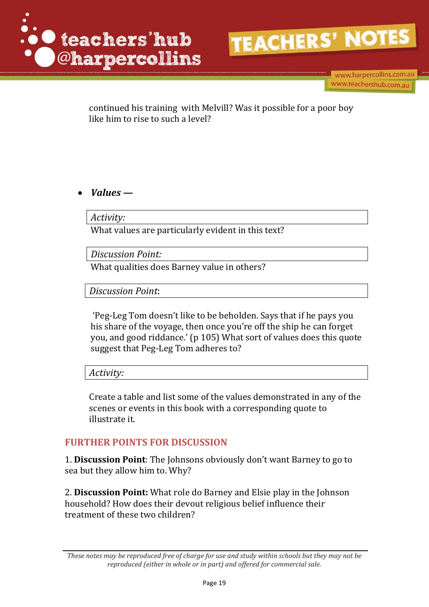

www.harpercollins.com.au www.teachershub.com.au

continued his training with Melvill? Was it possible for a poor boy like him to rise to such a level?

*Values* **—**

*Activity:* 

What values are particularly evident in this text?

*Discussion Point:* 

What qualities does Barney value in others?

*Discussion Point*:

'Peg-Leg Tom doesn't like to be beholden. Says that if he pays you his share of the voyage, then once you're off the ship he can forget you, and good riddance.' (p 105) What sort of values does this quote suggest that Peg-Leg Tom adheres to?

*Activity:* 

Create a table and list some of the values demonstrated in any of the scenes or events in this book with a corresponding quote to illustrate it.

### **FURTHER POINTS FOR DISCUSSION**

1. **Discussion Point**: The Johnsons obviously don't want Barney to go to sea but they allow him to. Why?

2. **Discussion Point:** What role do Barney and Elsie play in the Johnson household? How does their devout religious belief influence their treatment of these two children?

*These notes may be reproduced free of charge for use and study within schools but they may not be reproduced (either in whole or in part) and offered for commercial sale.*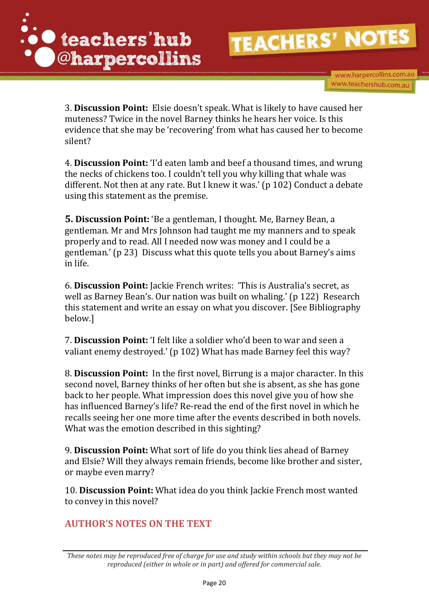

www.harpercollins.com.au www.teachershub.com.au

3. **Discussion Point:** Elsie doesn't speak. What is likely to have caused her muteness? Twice in the novel Barney thinks he hears her voice. Is this evidence that she may be 'recovering' from what has caused her to become silent?

4. **Discussion Point:** 'I'd eaten lamb and beef a thousand times, and wrung the necks of chickens too. I couldn't tell you why killing that whale was different. Not then at any rate. But I knew it was.' (p 102) Conduct a debate using this statement as the premise.

**5. Discussion Point:** 'Be a gentleman, I thought. Me, Barney Bean, a gentleman. Mr and Mrs Johnson had taught me my manners and to speak properly and to read. All I needed now was money and I could be a gentleman.' (p 23) Discuss what this quote tells you about Barney's aims in life.

6. **Discussion Point:** Jackie French writes: 'This is Australia's secret, as well as Barney Bean's. Our nation was built on whaling.' (p 122) Research this statement and write an essay on what you discover. [See Bibliography below.]

7. **Discussion Point:** 'I felt like a soldier who'd been to war and seen a valiant enemy destroyed.' (p 102) What has made Barney feel this way?

8. **Discussion Point:** In the first novel, Birrung is a major character. In this second novel, Barney thinks of her often but she is absent, as she has gone back to her people. What impression does this novel give you of how she has influenced Barney's life? Re-read the end of the first novel in which he recalls seeing her one more time after the events described in both novels. What was the emotion described in this sighting?

9. **Discussion Point:** What sort of life do you think lies ahead of Barney and Elsie? Will they always remain friends, become like brother and sister, or maybe even marry?

10. **Discussion Point:** What idea do you think Jackie French most wanted to convey in this novel?

# **AUTHOR'S NOTES ON THE TEXT**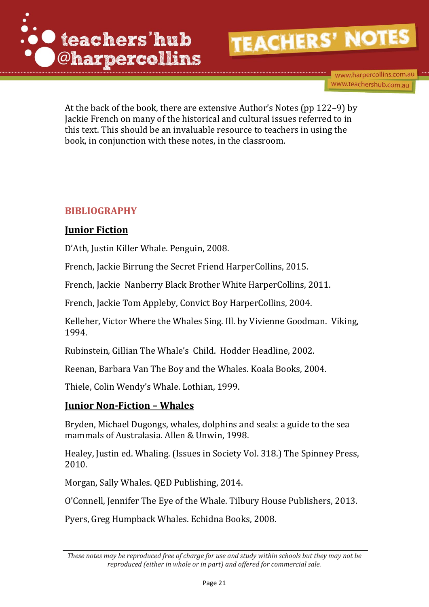

www.harpercollins.com.au www.teachershub.com.au

At the back of the book, there are extensive Author's Notes (pp 122–9) by Jackie French on many of the historical and cultural issues referred to in this text. This should be an invaluable resource to teachers in using the book, in conjunction with these notes, in the classroom.

# **BIBLIOGRAPHY**

# **Junior Fiction**

D'Ath, Justin Killer Whale. Penguin, 2008.

French, Jackie Birrung the Secret Friend HarperCollins, 2015.

French, Jackie Nanberry Black Brother White HarperCollins, 2011.

French, Jackie Tom Appleby, Convict Boy HarperCollins, 2004.

Kelleher, Victor Where the Whales Sing. Ill. by Vivienne Goodman. Viking, 1994.

Rubinstein, Gillian The Whale's Child. Hodder Headline, 2002.

Reenan, Barbara Van The Boy and the Whales. Koala Books, 2004.

Thiele, Colin Wendy's Whale. Lothian, 1999.

# **Junior Non-Fiction – Whales**

Bryden, Michael Dugongs, whales, dolphins and seals: a guide to the sea mammals of Australasia. Allen & Unwin, 1998.

Healey, Justin ed. Whaling. (Issues in Society Vol. 318.) The Spinney Press, 2010.

Morgan, Sally Whales. QED Publishing, 2014.

O'Connell, Jennifer The Eye of the Whale. Tilbury House Publishers, 2013.

Pyers, Greg Humpback Whales. Echidna Books, 2008.

*These notes may be reproduced free of charge for use and study within schools but they may not be reproduced (either in whole or in part) and offered for commercial sale.*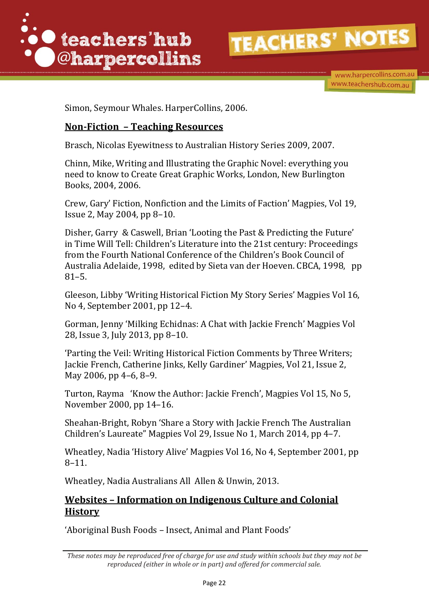

www.harpercollins.com.au www.teachershub.com.au

Simon, Seymour Whales. HarperCollins, 2006.

### **Non-Fiction – Teaching Resources**

Brasch, Nicolas Eyewitness to Australian History Series 2009, 2007.

Chinn, Mike, Writing and Illustrating the Graphic Novel: everything you need to know to Create Great Graphic Works, London, New Burlington Books, 2004, 2006.

Crew, Gary' Fiction, Nonfiction and the Limits of Faction' Magpies, Vol 19, Issue 2, May 2004, pp 8–10.

Disher, Garry & Caswell, Brian 'Looting the Past & Predicting the Future' in Time Will Tell: Children's Literature into the 21st century: Proceedings from the Fourth National Conference of the Children's Book Council of Australia Adelaide, 1998, edited by Sieta van der Hoeven. CBCA, 1998, pp 81–5.

Gleeson, Libby 'Writing Historical Fiction My Story Series' Magpies Vol 16, No 4, September 2001, pp 12–4.

Gorman, Jenny 'Milking Echidnas: A Chat with Jackie French' Magpies Vol 28, Issue 3, July 2013, pp 8–10.

'Parting the Veil: Writing Historical Fiction Comments by Three Writers; Jackie French, Catherine Jinks, Kelly Gardiner' Magpies, Vol 21, Issue 2, May 2006, pp 4–6, 8–9.

Turton, Rayma 'Know the Author: Jackie French', Magpies Vol 15, No 5, November 2000, pp 14–16.

Sheahan-Bright, Robyn 'Share a Story with Jackie French The Australian Children's Laureate" Magpies Vol 29, Issue No 1, March 2014, pp 4–7.

Wheatley, Nadia 'History Alive' Magpies Vol 16, No 4, September 2001, pp 8–11.

Wheatley, Nadia Australians All Allen & Unwin, 2013.

## **Websites – Information on Indigenous Culture and Colonial History**

'Aboriginal Bush Foods – Insect, Animal and Plant Foods'

*These notes may be reproduced free of charge for use and study within schools but they may not be reproduced (either in whole or in part) and offered for commercial sale.*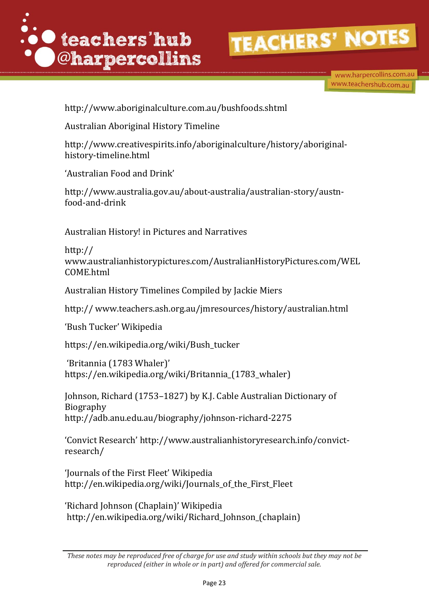

www.harpercollins.com.au www.teachershub.com.au

http://www.aboriginalculture.com.au/bushfoods.shtml

Australian Aboriginal History Timeline

http:/[/www.creativespirits.info/aboriginalculture/history/aboriginal](http://www.creativespirits.info/aboriginalculture/history/aboriginal-history-timeline.html)[history-timeline.html](http://www.creativespirits.info/aboriginalculture/history/aboriginal-history-timeline.html)

'Australian Food and Drink'

http://www.australia.gov.au/about-australia/australian-story/austnfood-and-drink

Australian History! in Pictures and Narratives

http:// [www.australianhistorypictures.com/AustralianHistoryPictures.com/WEL](http://www.australianhistorypictures.com/AustralianHistoryPictures.com/WELCOME.html) [COME.html](http://www.australianhistorypictures.com/AustralianHistoryPictures.com/WELCOME.html)

Australian History Timelines Compiled by Jackie Miers

http:// [www.teachers.ash.org.au/jmresources/history/australian.html](http://www.teachers.ash.org.au/jmresources/history/australian.html)

'Bush Tucker' Wikipedia

[https://en.wikipedia.org/wiki/Bush\\_tucker](https://en.wikipedia.org/wiki/Bush_tucker)

'Britannia (1783 Whaler)' https://en.wikipedia.org/wiki/Britannia\_(1783\_whaler)

Johnson, Richard (1753–1827) by K.J. Cable Australian Dictionary of Biography http://adb.anu.edu.au/biography/johnson-richard-2275

'Convict Research' http://www.australianhistoryresearch.info/convictresearch/

'Journals of the First Fleet' Wikipedia http://en.wikipedia.org/wiki/Journals\_of\_the\_First\_Fleet

'Richard Johnson (Chaplain)' Wikipedia http://en.wikipedia.org/wiki/Richard Johnson (chaplain)

*These notes may be reproduced free of charge for use and study within schools but they may not be reproduced (either in whole or in part) and offered for commercial sale.*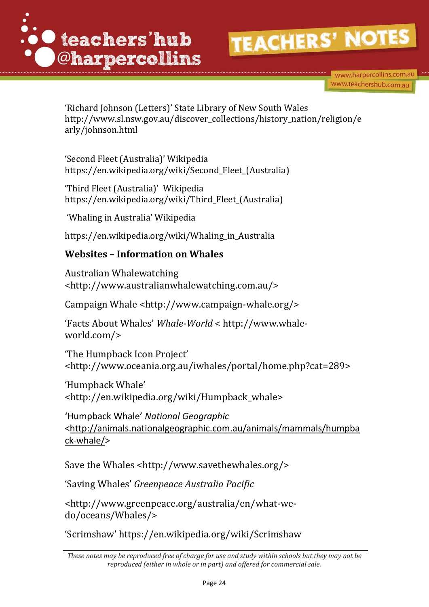

www.harpercollins.com.au www.teachershub.com.au

'Richard Johnson (Letters)' State Library of New South Wales http://www.sl.nsw.gov.au/discover\_collections/history\_nation/religion/e arly/johnson.html

'Second Fleet (Australia)' Wikipedia https://en.wikipedia.org/wiki/Second\_Fleet\_(Australia)

'Third Fleet (Australia)' Wikipedia [https://en.wikipedia.org/wiki/Third\\_Fleet\\_\(Australia\)](https://en.wikipedia.org/wiki/Third_Fleet_(Australia))

'Whaling in Australia' Wikipedia

https://en.wikipedia.org/wiki/Whaling\_in\_Australia

# **Websites – Information on Whales**

Australian Whalewatching <http://www.australianwhalewatching.com.au/>

Campaign Whale [<http://www.campaign-whale.org/>](http://www.campaign-whale.org/)

'Facts About Whales' *Whale-World* < http://www.whaleworld.com/>

'The Humpback Icon Project' [<http://www.oceania.org.au/iwhales/portal/home.php?cat=289>](http://www.oceania.org.au/iwhales/portal/home.php?cat=289)

'Humpback Whale' <http://en.wikipedia.org/wiki/Humpback\_whale>

'Humpback Whale' *National Geographic* [<http://animals.nationalgeographic.com.au/animals/mammals/humpba](http://animals.nationalgeographic.com.au/animals/mammals/humpback-whale/) [ck-whale/>](http://animals.nationalgeographic.com.au/animals/mammals/humpback-whale/)

Save the Whales [<http://www.savethewhales.org/>](http://www.savethewhales.org/)

'Saving Whales' *Greenpeace Australia Pacific*

<http://www.greenpeace.org/australia/en/what-wedo/oceans/Whales/>

'Scrimshaw' https://en.wikipedia.org/wiki/Scrimshaw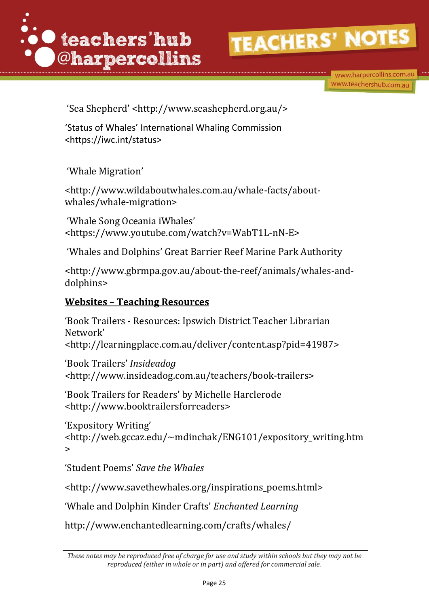

www.harpercollins.com.au www.teachershub.com.au

'Sea Shepherd' <http://www.seashepherd.org.au/>

'Status of Whales' International Whaling Commission <https://iwc.int/status>

'Whale Migration'

<http://www.wildaboutwhales.com.au/whale-facts/aboutwhales/whale-migration>

'Whale Song Oceania iWhales' <https://www.youtube.com/watch?v=WabT1L-nN-E>

'Whales and Dolphins' Great Barrier Reef Marine Park Authority

<http://www.gbrmpa.gov.au/about-the-reef/animals/whales-anddolphins>

# **Websites – Teaching Resources**

'Book Trailers - Resources: Ipswich District Teacher Librarian Network' [<http://learningplace.com.au/deliver/content.asp?pid=41987>](http://learningplace.com.au/deliver/content.asp?pid=41987) 'Book Trailers' *Insideadog* 

*<*[http://www.insideadog.com.au/teachers/book-trailers>](http://www.insideadog.com.au/teachers/book-trailers)

'Book Trailers for Readers' by Michelle Harclerode [<http://www.booktrailersforreaders>](http://www.booktrailersforreaders/)

```
'Expository Writing' 
<http://web.gccaz.edu/~mdinchak/ENG101/expository_writing.htm
>
```
'Student Poems' *Save the Whales*

<http://www.savethewhales.org/inspirations\_poems.html>

'Whale and Dolphin Kinder Crafts' *Enchanted Learning*

http://www.enchantedlearning.com/crafts/whales/

*These notes may be reproduced free of charge for use and study within schools but they may not be reproduced (either in whole or in part) and offered for commercial sale.*